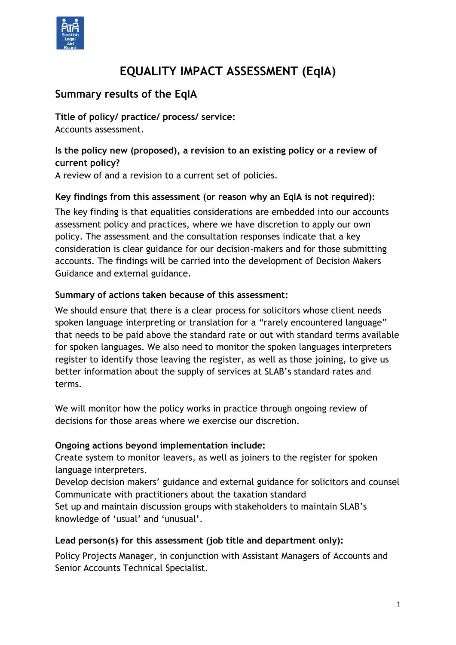

# **EQUALITY IMPACT ASSESSMENT (EqIA)**

# **Summary results of the EqIA**

**Title of policy/ practice/ process/ service:** Accounts assessment.

# **Is the policy new (proposed), a revision to an existing policy or a review of current policy?**

A review of and a revision to a current set of policies.

#### **Key findings from this assessment (or reason why an EqIA is not required):**

The key finding is that equalities considerations are embedded into our accounts assessment policy and practices, where we have discretion to apply our own policy. The assessment and the consultation responses indicate that a key consideration is clear guidance for our decision-makers and for those submitting accounts. The findings will be carried into the development of Decision Makers Guidance and external guidance.

#### **Summary of actions taken because of this assessment:**

We should ensure that there is a clear process for solicitors whose client needs spoken language interpreting or translation for a "rarely encountered language" that needs to be paid above the standard rate or out with standard terms available for spoken languages. We also need to monitor the spoken languages interpreters register to identify those leaving the register, as well as those joining, to give us better information about the supply of services at SLAB's standard rates and terms.

We will monitor how the policy works in practice through ongoing review of decisions for those areas where we exercise our discretion.

#### **Ongoing actions beyond implementation include:**

Create system to monitor leavers, as well as joiners to the register for spoken language interpreters.

Develop decision makers' guidance and external guidance for solicitors and counsel Communicate with practitioners about the taxation standard

Set up and maintain discussion groups with stakeholders to maintain SLAB's knowledge of 'usual' and 'unusual'.

## **Lead person(s) for this assessment (job title and department only):**

Policy Projects Manager, in conjunction with Assistant Managers of Accounts and Senior Accounts Technical Specialist.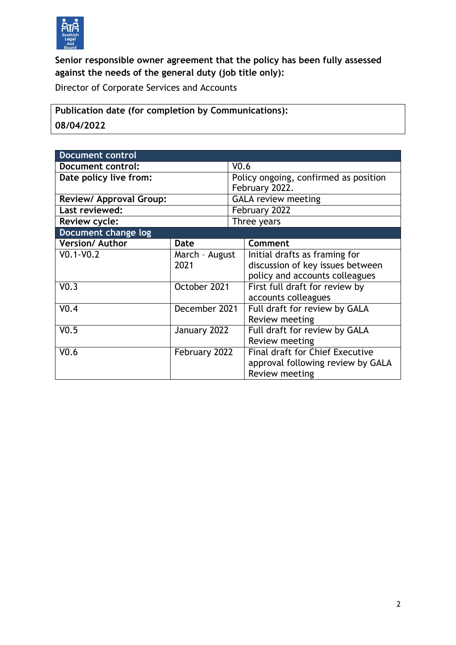

# **Senior responsible owner agreement that the policy has been fully assessed against the needs of the general duty (job title only):**

Director of Corporate Services and Accounts

**Publication date (for completion by Communications): 08/04/2022**

| <b>Document control</b> |                        |                                |                                        |  |
|-------------------------|------------------------|--------------------------------|----------------------------------------|--|
| Document control:       |                        | V <sub>0.6</sub>               |                                        |  |
| Date policy live from:  |                        |                                | Policy ongoing, confirmed as position  |  |
|                         |                        | February 2022.                 |                                        |  |
| Review/ Approval Group: |                        | <b>GALA review meeting</b>     |                                        |  |
| Last reviewed:          |                        | February 2022                  |                                        |  |
| Review cycle:           |                        |                                | Three years                            |  |
| Document change log     |                        |                                |                                        |  |
| <b>Version/Author</b>   | <b>Date</b>            |                                | Comment                                |  |
| $V0.1-V0.2$             | March - August<br>2021 |                                | Initial drafts as framing for          |  |
|                         |                        |                                | discussion of key issues between       |  |
|                         |                        | policy and accounts colleagues |                                        |  |
| V <sub>0.3</sub>        | October 2021           |                                | First full draft for review by         |  |
|                         |                        |                                | accounts colleagues                    |  |
| V <sub>0.4</sub>        | December 2021          |                                | Full draft for review by GALA          |  |
|                         |                        |                                | Review meeting                         |  |
| V <sub>0.5</sub>        | January 2022           |                                | Full draft for review by GALA          |  |
|                         |                        |                                | Review meeting                         |  |
| V <sub>0.6</sub>        | February 2022          |                                | <b>Final draft for Chief Executive</b> |  |
|                         |                        |                                | approval following review by GALA      |  |
|                         |                        |                                | Review meeting                         |  |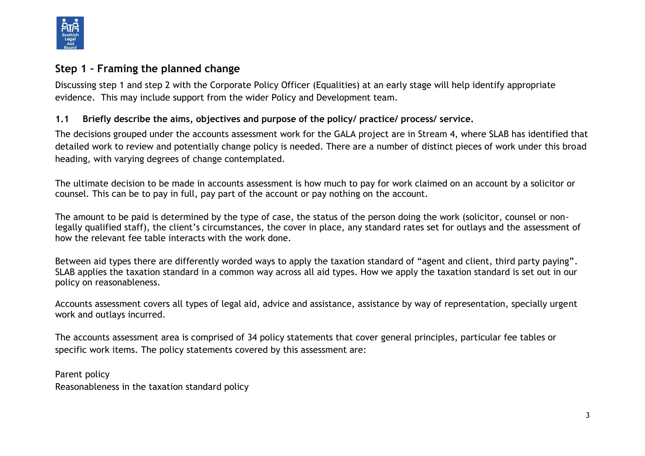

## **Step 1 – Framing the planned change**

Discussing step 1 and step 2 with the Corporate Policy Officer (Equalities) at an early stage will help identify appropriate evidence. This may include support from the wider Policy and Development team.

#### **1.1 Briefly describe the aims, objectives and purpose of the policy/ practice/ process/ service.**

The decisions grouped under the accounts assessment work for the GALA project are in Stream 4, where SLAB has identified that detailed work to review and potentially change policy is needed. There are a number of distinct pieces of work under this broad heading, with varying degrees of change contemplated.

The ultimate decision to be made in accounts assessment is how much to pay for work claimed on an account by a solicitor or counsel. This can be to pay in full, pay part of the account or pay nothing on the account.

The amount to be paid is determined by the type of case, the status of the person doing the work (solicitor, counsel or nonlegally qualified staff), the client's circumstances, the cover in place, any standard rates set for outlays and the assessment of how the relevant fee table interacts with the work done.

Between aid types there are differently worded ways to apply the taxation standard of "agent and client, third party paying". SLAB applies the taxation standard in a common way across all aid types. How we apply the taxation standard is set out in our policy on reasonableness.

Accounts assessment covers all types of legal aid, advice and assistance, assistance by way of representation, specially urgent work and outlays incurred.

The accounts assessment area is comprised of 34 policy statements that cover general principles, particular fee tables or specific work items. The policy statements covered by this assessment are:

Parent policy Reasonableness in the taxation standard policy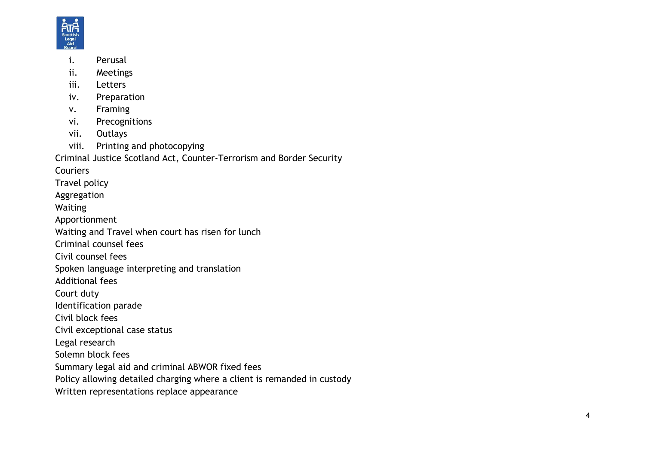

- i. Perusal
- ii. Meetings
- iii. Letters
- iv. Preparation
- v. Framing
- vi. Precognitions
- vii. Outlays
- viii. Printing and photocopying

Criminal Justice Scotland Act, Counter -Terrorism and Border Security

**Couriers** 

- Travel policy
- Aggregation
- Waiting
- Apportionment
- Waiting and Travel when court has risen for lunch
- Criminal counsel fees
- Civil counsel fees
- Spoken language interpreting and translation
- Additional fees
- Court duty
- Identification parade
- Civil block fees
- Civil exceptional case status
- Legal research
- Solemn block fees
- Summary legal aid and criminal ABWOR fixed fees
- Policy allowing detailed charging where a client is remanded in custody
- Written representations replace appearance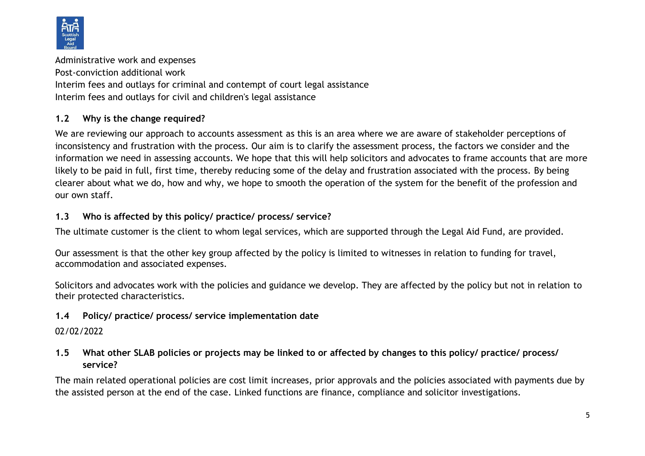

Administrative work and expenses Post-conviction additional work Interim fees and outlays for criminal and contempt of court legal assistance Interim fees and outlays for civil and children's legal assistance

#### **1.2 Why is the change required?**

We are reviewing our approach to accounts assessment as this is an area where we are aware of stakeholder perceptions of inconsistency and frustration with the process. Our aim is to clarify the assessment process, the factors we consider and the information we need in assessing accounts. We hope that this will help solicitors and advocates to frame accounts that are more likely to be paid in full, first time, thereby reducing some of the delay and frustration associated with the process. By being clearer about what we do, how and why, we hope to smooth the operation of the system for the benefit of the profession and our own staff.

#### **1.3 Who is affected by this policy/ practice/ process/ service?**

The ultimate customer is the client to whom legal services, which are supported through the Legal Aid Fund, are provided.

Our assessment is that the other key group affected by the policy is limited to witnesses in relation to funding for travel, accommodation and associated expenses.

Solicitors and advocates work with the policies and guidance we develop. They are affected by the policy but not in relation to their protected characteristics.

## **1.4 Policy/ practice/ process/ service implementation date**

02/02/2022

## **1.5 What other SLAB policies or projects may be linked to or affected by changes to this policy/ practice/ process/ service?**

The main related operational policies are cost limit increases, prior approvals and the policies associated with payments due by the assisted person at the end of the case. Linked functions are finance, compliance and solicitor investigations.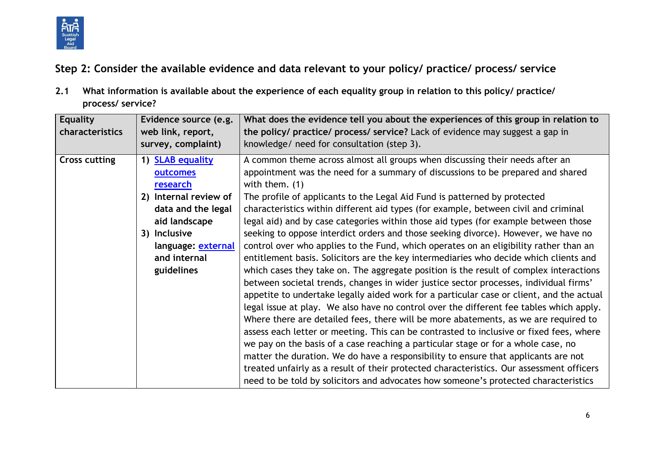

**Step 2: Consider the available evidence and data relevant to your policy/ practice/ process/ service**

**2.1 What information is available about the experience of each equality group in relation to this policy/ practice/ process/ service?**

| <b>Equality</b><br>characteristics | Evidence source (e.g.<br>web link, report,<br>survey, complaint) | What does the evidence tell you about the experiences of this group in relation to<br>the policy/ practice/ process/ service? Lack of evidence may suggest a gap in<br>knowledge/ need for consultation (step 3). |
|------------------------------------|------------------------------------------------------------------|-------------------------------------------------------------------------------------------------------------------------------------------------------------------------------------------------------------------|
|                                    |                                                                  |                                                                                                                                                                                                                   |
| <b>Cross cutting</b>               | 1) SLAB equality                                                 | A common theme across almost all groups when discussing their needs after an                                                                                                                                      |
|                                    | outcomes                                                         | appointment was the need for a summary of discussions to be prepared and shared                                                                                                                                   |
|                                    | research                                                         | with them. $(1)$                                                                                                                                                                                                  |
|                                    | 2) Internal review of                                            | The profile of applicants to the Legal Aid Fund is patterned by protected                                                                                                                                         |
|                                    | data and the legal                                               | characteristics within different aid types (for example, between civil and criminal                                                                                                                               |
|                                    | aid landscape                                                    | legal aid) and by case categories within those aid types (for example between those                                                                                                                               |
|                                    | 3) Inclusive                                                     | seeking to oppose interdict orders and those seeking divorce). However, we have no                                                                                                                                |
|                                    | language: external                                               | control over who applies to the Fund, which operates on an eligibility rather than an                                                                                                                             |
|                                    | and internal                                                     | entitlement basis. Solicitors are the key intermediaries who decide which clients and                                                                                                                             |
|                                    | guidelines                                                       | which cases they take on. The aggregate position is the result of complex interactions                                                                                                                            |
|                                    |                                                                  | between societal trends, changes in wider justice sector processes, individual firms'                                                                                                                             |
|                                    |                                                                  | appetite to undertake legally aided work for a particular case or client, and the actual                                                                                                                          |
|                                    |                                                                  | legal issue at play. We also have no control over the different fee tables which apply.                                                                                                                           |
|                                    |                                                                  | Where there are detailed fees, there will be more abatements, as we are required to                                                                                                                               |
|                                    |                                                                  | assess each letter or meeting. This can be contrasted to inclusive or fixed fees, where                                                                                                                           |
|                                    |                                                                  | we pay on the basis of a case reaching a particular stage or for a whole case, no                                                                                                                                 |
|                                    |                                                                  | matter the duration. We do have a responsibility to ensure that applicants are not                                                                                                                                |
|                                    |                                                                  | treated unfairly as a result of their protected characteristics. Our assessment officers                                                                                                                          |
|                                    |                                                                  | need to be told by solicitors and advocates how someone's protected characteristics                                                                                                                               |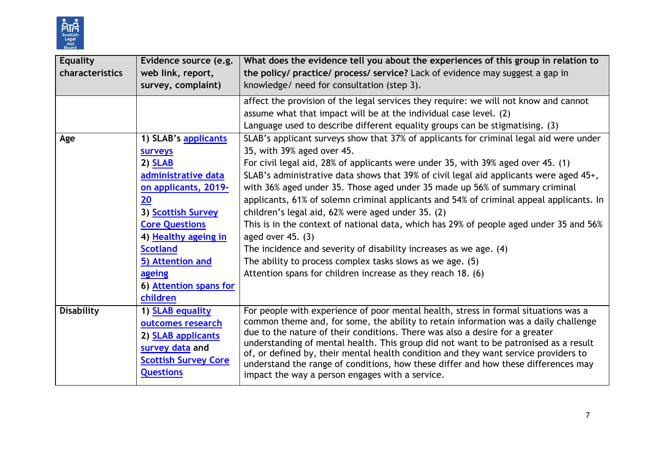

| <b>Equality</b>   | Evidence source (e.g.       | What does the evidence tell you about the experiences of this group in relation to                                                                                        |
|-------------------|-----------------------------|---------------------------------------------------------------------------------------------------------------------------------------------------------------------------|
| characteristics   | web link, report,           | the policy/ practice/ process/ service? Lack of evidence may suggest a gap in                                                                                             |
|                   | survey, complaint)          | knowledge/ need for consultation (step 3).                                                                                                                                |
|                   |                             | affect the provision of the legal services they require: we will not know and cannot                                                                                      |
|                   |                             | assume what that impact will be at the individual case level. (2)                                                                                                         |
|                   |                             | Language used to describe different equality groups can be stigmatising. (3)                                                                                              |
| Age               | 1) SLAB's applicants        | SLAB's applicant surveys show that 37% of applicants for criminal legal aid were under                                                                                    |
|                   | <b>surveys</b>              | 35, with 39% aged over 45.                                                                                                                                                |
|                   | $2)$ SLAB                   | For civil legal aid, 28% of applicants were under 35, with 39% aged over 45. (1)                                                                                          |
|                   | administrative data         | SLAB's administrative data shows that 39% of civil legal aid applicants were aged 45+,                                                                                    |
|                   | on applicants, 2019-        | with 36% aged under 35. Those aged under 35 made up 56% of summary criminal                                                                                               |
|                   | 20                          | applicants, 61% of solemn criminal applicants and 54% of criminal appeal applicants. In                                                                                   |
|                   | 3) Scottish Survey          | children's legal aid, 62% were aged under 35. (2)                                                                                                                         |
|                   | <b>Core Questions</b>       | This is in the context of national data, which has 29% of people aged under 35 and 56%                                                                                    |
|                   | 4) Healthy ageing in        | aged over $45. (3)$                                                                                                                                                       |
|                   | <b>Scotland</b>             | The incidence and severity of disability increases as we age. (4)                                                                                                         |
|                   | 5) Attention and            | The ability to process complex tasks slows as we age. (5)                                                                                                                 |
|                   | ageing                      | Attention spans for children increase as they reach 18. (6)                                                                                                               |
|                   | 6) Attention spans for      |                                                                                                                                                                           |
|                   | children                    |                                                                                                                                                                           |
| <b>Disability</b> | 1) SLAB equality            | For people with experience of poor mental health, stress in formal situations was a                                                                                       |
|                   | outcomes research           | common theme and, for some, the ability to retain information was a daily challenge                                                                                       |
|                   | 2) <b>SLAB applicants</b>   | due to the nature of their conditions. There was also a desire for a greater                                                                                              |
|                   | survey data and             | understanding of mental health. This group did not want to be patronised as a result                                                                                      |
|                   | <b>Scottish Survey Core</b> | of, or defined by, their mental health condition and they want service providers to<br>understand the range of conditions, how these differ and how these differences may |
|                   | <b>Questions</b>            | impact the way a person engages with a service.                                                                                                                           |
|                   |                             |                                                                                                                                                                           |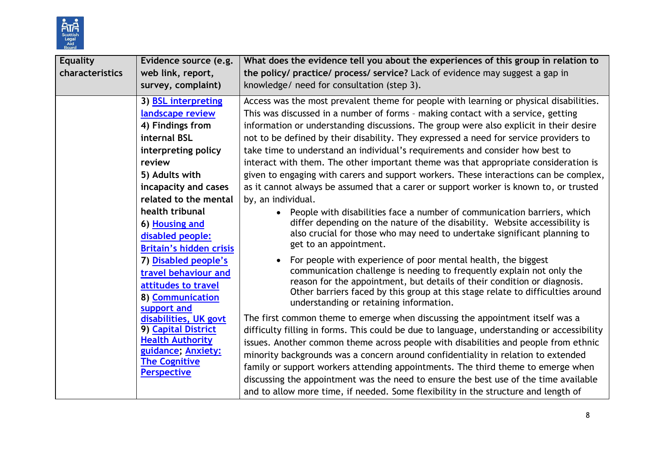

| <b>Equality</b><br>characteristics | Evidence source (e.g.<br>web link, report,<br>survey, complaint)                                                                                                                                                                                                                                                                                         | What does the evidence tell you about the experiences of this group in relation to<br>the policy/ practice/ process/ service? Lack of evidence may suggest a gap in<br>knowledge/ need for consultation (step 3).                                                                                                                                                                                                                                                                                                                                                                                                                                                                                                                                                                                                                                                                                                                                                                                                                                                                                                                                                                                                                                                                                                      |
|------------------------------------|----------------------------------------------------------------------------------------------------------------------------------------------------------------------------------------------------------------------------------------------------------------------------------------------------------------------------------------------------------|------------------------------------------------------------------------------------------------------------------------------------------------------------------------------------------------------------------------------------------------------------------------------------------------------------------------------------------------------------------------------------------------------------------------------------------------------------------------------------------------------------------------------------------------------------------------------------------------------------------------------------------------------------------------------------------------------------------------------------------------------------------------------------------------------------------------------------------------------------------------------------------------------------------------------------------------------------------------------------------------------------------------------------------------------------------------------------------------------------------------------------------------------------------------------------------------------------------------------------------------------------------------------------------------------------------------|
|                                    | 3) <b>BSL interpreting</b><br>landscape review<br>4) Findings from<br>internal BSL<br>interpreting policy<br>review<br>5) Adults with<br>incapacity and cases<br>related to the mental<br>health tribunal<br>6) Housing and<br>disabled people:<br><b>Britain's hidden crisis</b><br>7) Disabled people's<br>travel behaviour and<br>attitudes to travel | Access was the most prevalent theme for people with learning or physical disabilities.<br>This was discussed in a number of forms - making contact with a service, getting<br>information or understanding discussions. The group were also explicit in their desire<br>not to be defined by their disability. They expressed a need for service providers to<br>take time to understand an individual's requirements and consider how best to<br>interact with them. The other important theme was that appropriate consideration is<br>given to engaging with carers and support workers. These interactions can be complex,<br>as it cannot always be assumed that a carer or support worker is known to, or trusted<br>by, an individual.<br>• People with disabilities face a number of communication barriers, which<br>differ depending on the nature of the disability. Website accessibility is<br>also crucial for those who may need to undertake significant planning to<br>get to an appointment.<br>For people with experience of poor mental health, the biggest<br>communication challenge is needing to frequently explain not only the<br>reason for the appointment, but details of their condition or diagnosis.<br>Other barriers faced by this group at this stage relate to difficulties around |
|                                    | 8) Communication<br>support and<br>disabilities, UK govt<br>9) Capital District<br><b>Health Authority</b><br>guidance; Anxiety:<br><b>The Cognitive</b><br><b>Perspective</b>                                                                                                                                                                           | understanding or retaining information.<br>The first common theme to emerge when discussing the appointment itself was a<br>difficulty filling in forms. This could be due to language, understanding or accessibility<br>issues. Another common theme across people with disabilities and people from ethnic<br>minority backgrounds was a concern around confidentiality in relation to extended<br>family or support workers attending appointments. The third theme to emerge when<br>discussing the appointment was the need to ensure the best use of the time available<br>and to allow more time, if needed. Some flexibility in the structure and length of                                                                                                                                                                                                                                                                                                                                                                                                                                                                                                                                                                                                                                                   |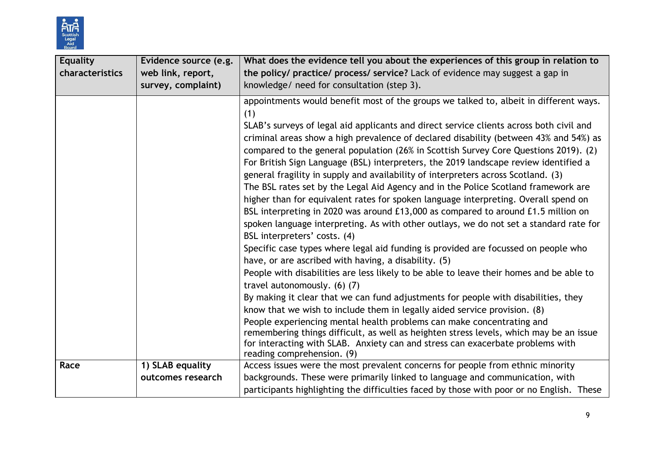

| <b>Equality</b><br>characteristics | Evidence source (e.g.<br>web link, report,<br>survey, complaint) | What does the evidence tell you about the experiences of this group in relation to<br>the policy/ practice/ process/ service? Lack of evidence may suggest a gap in<br>knowledge/ need for consultation (step 3).                                                                                                                                                                                                                                                                                                                                                                                                                                                                                                                                                                                                                                                                                                                                                                                                                                                                                                                                                                                                                                                                                                                                                                                                                                                                                                                                                                                                                                                                |
|------------------------------------|------------------------------------------------------------------|----------------------------------------------------------------------------------------------------------------------------------------------------------------------------------------------------------------------------------------------------------------------------------------------------------------------------------------------------------------------------------------------------------------------------------------------------------------------------------------------------------------------------------------------------------------------------------------------------------------------------------------------------------------------------------------------------------------------------------------------------------------------------------------------------------------------------------------------------------------------------------------------------------------------------------------------------------------------------------------------------------------------------------------------------------------------------------------------------------------------------------------------------------------------------------------------------------------------------------------------------------------------------------------------------------------------------------------------------------------------------------------------------------------------------------------------------------------------------------------------------------------------------------------------------------------------------------------------------------------------------------------------------------------------------------|
|                                    |                                                                  | appointments would benefit most of the groups we talked to, albeit in different ways.<br>(1)<br>SLAB's surveys of legal aid applicants and direct service clients across both civil and<br>criminal areas show a high prevalence of declared disability (between 43% and 54%) as<br>compared to the general population (26% in Scottish Survey Core Questions 2019). (2)<br>For British Sign Language (BSL) interpreters, the 2019 landscape review identified a<br>general fragility in supply and availability of interpreters across Scotland. (3)<br>The BSL rates set by the Legal Aid Agency and in the Police Scotland framework are<br>higher than for equivalent rates for spoken language interpreting. Overall spend on<br>BSL interpreting in 2020 was around £13,000 as compared to around £1.5 million on<br>spoken language interpreting. As with other outlays, we do not set a standard rate for<br>BSL interpreters' costs. (4)<br>Specific case types where legal aid funding is provided are focussed on people who<br>have, or are ascribed with having, a disability. (5)<br>People with disabilities are less likely to be able to leave their homes and be able to<br>travel autonomously. (6) (7)<br>By making it clear that we can fund adjustments for people with disabilities, they<br>know that we wish to include them in legally aided service provision. (8)<br>People experiencing mental health problems can make concentrating and<br>remembering things difficult, as well as heighten stress levels, which may be an issue<br>for interacting with SLAB. Anxiety can and stress can exacerbate problems with<br>reading comprehension. (9) |
| Race                               | 1) SLAB equality                                                 | Access issues were the most prevalent concerns for people from ethnic minority                                                                                                                                                                                                                                                                                                                                                                                                                                                                                                                                                                                                                                                                                                                                                                                                                                                                                                                                                                                                                                                                                                                                                                                                                                                                                                                                                                                                                                                                                                                                                                                                   |
|                                    | outcomes research                                                | backgrounds. These were primarily linked to language and communication, with<br>participants highlighting the difficulties faced by those with poor or no English. These                                                                                                                                                                                                                                                                                                                                                                                                                                                                                                                                                                                                                                                                                                                                                                                                                                                                                                                                                                                                                                                                                                                                                                                                                                                                                                                                                                                                                                                                                                         |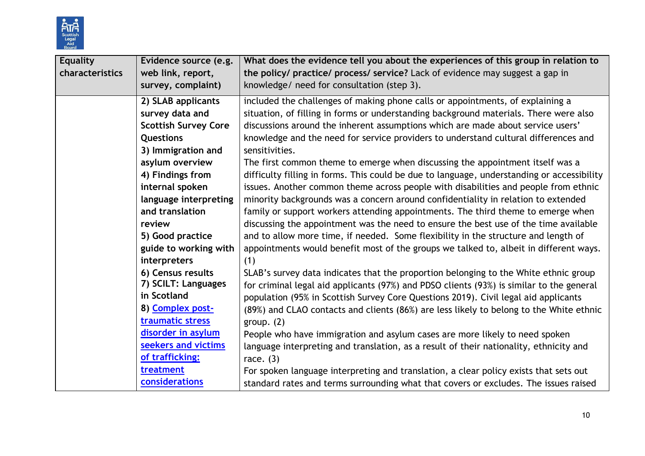

| <b>Equality</b><br>characteristics | Evidence source (e.g.<br>web link, report,<br>survey, complaint) | What does the evidence tell you about the experiences of this group in relation to<br>the policy/ practice/ process/ service? Lack of evidence may suggest a gap in<br>knowledge/ need for consultation (step 3). |
|------------------------------------|------------------------------------------------------------------|-------------------------------------------------------------------------------------------------------------------------------------------------------------------------------------------------------------------|
|                                    | 2) SLAB applicants                                               | included the challenges of making phone calls or appointments, of explaining a                                                                                                                                    |
|                                    | survey data and                                                  | situation, of filling in forms or understanding background materials. There were also                                                                                                                             |
|                                    | <b>Scottish Survey Core</b>                                      | discussions around the inherent assumptions which are made about service users'                                                                                                                                   |
|                                    | Questions                                                        | knowledge and the need for service providers to understand cultural differences and                                                                                                                               |
|                                    | 3) Immigration and                                               | sensitivities.                                                                                                                                                                                                    |
|                                    | asylum overview                                                  | The first common theme to emerge when discussing the appointment itself was a                                                                                                                                     |
|                                    | 4) Findings from                                                 | difficulty filling in forms. This could be due to language, understanding or accessibility                                                                                                                        |
|                                    | internal spoken                                                  | issues. Another common theme across people with disabilities and people from ethnic                                                                                                                               |
|                                    | language interpreting                                            | minority backgrounds was a concern around confidentiality in relation to extended                                                                                                                                 |
|                                    | and translation                                                  | family or support workers attending appointments. The third theme to emerge when                                                                                                                                  |
|                                    | review                                                           | discussing the appointment was the need to ensure the best use of the time available                                                                                                                              |
|                                    | 5) Good practice                                                 | and to allow more time, if needed. Some flexibility in the structure and length of                                                                                                                                |
|                                    | guide to working with                                            | appointments would benefit most of the groups we talked to, albeit in different ways.                                                                                                                             |
|                                    | interpreters                                                     | (1)                                                                                                                                                                                                               |
|                                    | 6) Census results                                                | SLAB's survey data indicates that the proportion belonging to the White ethnic group                                                                                                                              |
|                                    | 7) SCILT: Languages                                              | for criminal legal aid applicants (97%) and PDSO clients (93%) is similar to the general                                                                                                                          |
|                                    | in Scotland                                                      | population (95% in Scottish Survey Core Questions 2019). Civil legal aid applicants                                                                                                                               |
|                                    | 8) Complex post-                                                 | (89%) and CLAO contacts and clients (86%) are less likely to belong to the White ethnic                                                                                                                           |
|                                    | traumatic stress                                                 | group. $(2)$                                                                                                                                                                                                      |
|                                    | disorder in asylum                                               | People who have immigration and asylum cases are more likely to need spoken                                                                                                                                       |
|                                    | seekers and victims                                              | language interpreting and translation, as a result of their nationality, ethnicity and                                                                                                                            |
|                                    | of trafficking:                                                  | race. $(3)$                                                                                                                                                                                                       |
|                                    | treatment                                                        | For spoken language interpreting and translation, a clear policy exists that sets out                                                                                                                             |
|                                    | considerations                                                   | standard rates and terms surrounding what that covers or excludes. The issues raised                                                                                                                              |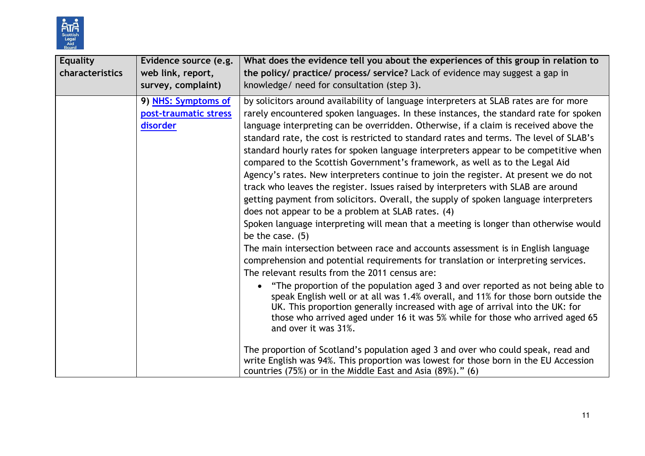

| <b>Equality</b><br>characteristics | Evidence source (e.g.<br>web link, report,<br>survey, complaint) | What does the evidence tell you about the experiences of this group in relation to<br>the policy/ practice/ process/ service? Lack of evidence may suggest a gap in<br>knowledge/ need for consultation (step 3).                                                                                                                                                                                                                                                                                                                                                                                                                                                                                                                                                                                                                                                                                                                                                                                                                                                                                                                                                                                                                                                                                                                                                                                                                                                                                                                                                               |  |
|------------------------------------|------------------------------------------------------------------|---------------------------------------------------------------------------------------------------------------------------------------------------------------------------------------------------------------------------------------------------------------------------------------------------------------------------------------------------------------------------------------------------------------------------------------------------------------------------------------------------------------------------------------------------------------------------------------------------------------------------------------------------------------------------------------------------------------------------------------------------------------------------------------------------------------------------------------------------------------------------------------------------------------------------------------------------------------------------------------------------------------------------------------------------------------------------------------------------------------------------------------------------------------------------------------------------------------------------------------------------------------------------------------------------------------------------------------------------------------------------------------------------------------------------------------------------------------------------------------------------------------------------------------------------------------------------------|--|
|                                    | 9) NHS: Symptoms of<br>post-traumatic stress<br>disorder         | by solicitors around availability of language interpreters at SLAB rates are for more<br>rarely encountered spoken languages. In these instances, the standard rate for spoken<br>language interpreting can be overridden. Otherwise, if a claim is received above the<br>standard rate, the cost is restricted to standard rates and terms. The level of SLAB's<br>standard hourly rates for spoken language interpreters appear to be competitive when<br>compared to the Scottish Government's framework, as well as to the Legal Aid<br>Agency's rates. New interpreters continue to join the register. At present we do not<br>track who leaves the register. Issues raised by interpreters with SLAB are around<br>getting payment from solicitors. Overall, the supply of spoken language interpreters<br>does not appear to be a problem at SLAB rates. (4)<br>Spoken language interpreting will mean that a meeting is longer than otherwise would<br>be the case. $(5)$<br>The main intersection between race and accounts assessment is in English language<br>comprehension and potential requirements for translation or interpreting services.<br>The relevant results from the 2011 census are:<br>"The proportion of the population aged 3 and over reported as not being able to<br>speak English well or at all was 1.4% overall, and 11% for those born outside the<br>UK. This proportion generally increased with age of arrival into the UK: for<br>those who arrived aged under 16 it was 5% while for those who arrived aged 65<br>and over it was 31%. |  |
|                                    |                                                                  | The proportion of Scotland's population aged 3 and over who could speak, read and<br>write English was 94%. This proportion was lowest for those born in the EU Accession<br>countries (75%) or in the Middle East and Asia (89%)." (6)                                                                                                                                                                                                                                                                                                                                                                                                                                                                                                                                                                                                                                                                                                                                                                                                                                                                                                                                                                                                                                                                                                                                                                                                                                                                                                                                         |  |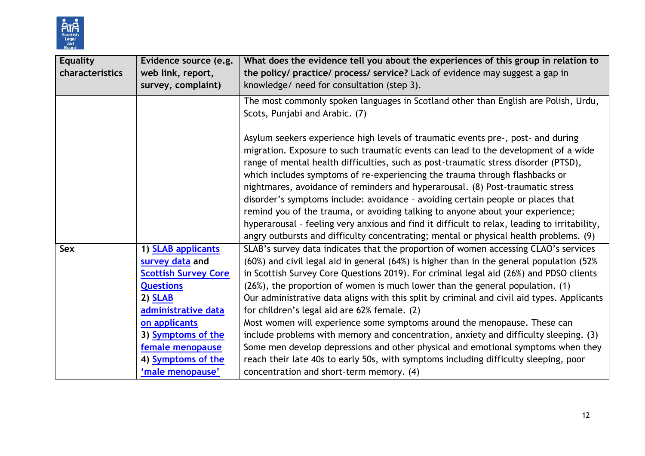

| Equality<br>characteristics | Evidence source (e.g.<br>web link, report,                                                                                                                                                                                | What does the evidence tell you about the experiences of this group in relation to<br>the policy/ practice/ process/ service? Lack of evidence may suggest a gap in                                                                                                                                                                                                                                                                                                                                                                                                                                                                                                                                                                                                                                                                                      |
|-----------------------------|---------------------------------------------------------------------------------------------------------------------------------------------------------------------------------------------------------------------------|----------------------------------------------------------------------------------------------------------------------------------------------------------------------------------------------------------------------------------------------------------------------------------------------------------------------------------------------------------------------------------------------------------------------------------------------------------------------------------------------------------------------------------------------------------------------------------------------------------------------------------------------------------------------------------------------------------------------------------------------------------------------------------------------------------------------------------------------------------|
|                             | survey, complaint)                                                                                                                                                                                                        | knowledge/ need for consultation (step 3).                                                                                                                                                                                                                                                                                                                                                                                                                                                                                                                                                                                                                                                                                                                                                                                                               |
|                             |                                                                                                                                                                                                                           | The most commonly spoken languages in Scotland other than English are Polish, Urdu,<br>Scots, Punjabi and Arabic. (7)                                                                                                                                                                                                                                                                                                                                                                                                                                                                                                                                                                                                                                                                                                                                    |
|                             |                                                                                                                                                                                                                           | Asylum seekers experience high levels of traumatic events pre-, post- and during<br>migration. Exposure to such traumatic events can lead to the development of a wide<br>range of mental health difficulties, such as post-traumatic stress disorder (PTSD),<br>which includes symptoms of re-experiencing the trauma through flashbacks or<br>nightmares, avoidance of reminders and hyperarousal. (8) Post-traumatic stress<br>disorder's symptoms include: avoidance - avoiding certain people or places that<br>remind you of the trauma, or avoiding talking to anyone about your experience;<br>hyperarousal - feeling very anxious and find it difficult to relax, leading to irritability,                                                                                                                                                      |
| Sex                         | 1) <b>SLAB applicants</b><br>survey data and<br><b>Scottish Survey Core</b><br><b>Questions</b><br>2) <b>SLAB</b><br>administrative data<br>on applicants<br>3) Symptoms of the<br>female menopause<br>4) Symptoms of the | SLAB's survey data indicates that the proportion of women accessing CLAO's services<br>(60%) and civil legal aid in general (64%) is higher than in the general population (52%<br>in Scottish Survey Core Questions 2019). For criminal legal aid (26%) and PDSO clients<br>(26%), the proportion of women is much lower than the general population. (1)<br>Our administrative data aligns with this split by criminal and civil aid types. Applicants<br>for children's legal aid are 62% female. (2)<br>Most women will experience some symptoms around the menopause. These can<br>include problems with memory and concentration, anxiety and difficulty sleeping. (3)<br>Some men develop depressions and other physical and emotional symptoms when they<br>reach their late 40s to early 50s, with symptoms including difficulty sleeping, poor |
|                             | 'male menopause'                                                                                                                                                                                                          | angry outbursts and difficulty concentrating; mental or physical health problems. (9)<br>concentration and short-term memory. (4)                                                                                                                                                                                                                                                                                                                                                                                                                                                                                                                                                                                                                                                                                                                        |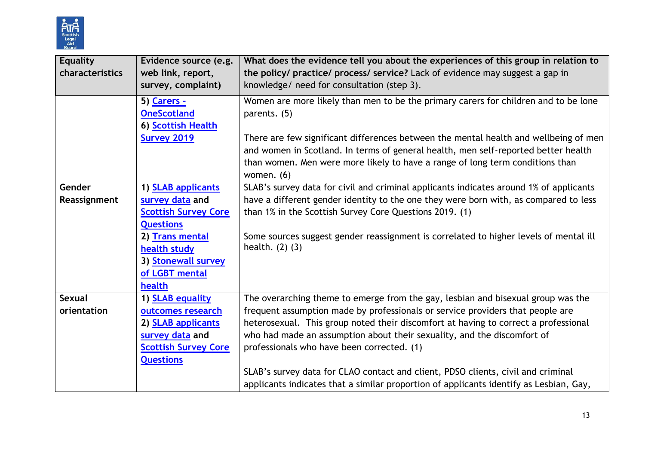

| <b>Equality</b><br>characteristics | Evidence source (e.g.<br>web link, report,<br>survey, complaint) | What does the evidence tell you about the experiences of this group in relation to<br>the policy/ practice/ process/ service? Lack of evidence may suggest a gap in<br>knowledge/ need for consultation (step 3).                                                           |
|------------------------------------|------------------------------------------------------------------|-----------------------------------------------------------------------------------------------------------------------------------------------------------------------------------------------------------------------------------------------------------------------------|
|                                    | 5) Carers -<br><b>OneScotland</b><br>6) Scottish Health          | Women are more likely than men to be the primary carers for children and to be lone<br>parents. (5)                                                                                                                                                                         |
|                                    | <b>Survey 2019</b>                                               | There are few significant differences between the mental health and wellbeing of men<br>and women in Scotland. In terms of general health, men self-reported better health<br>than women. Men were more likely to have a range of long term conditions than<br>women. $(6)$ |
| Gender                             | 1) <b>SLAB applicants</b>                                        | SLAB's survey data for civil and criminal applicants indicates around 1% of applicants                                                                                                                                                                                      |
| Reassignment                       | survey data and                                                  | have a different gender identity to the one they were born with, as compared to less                                                                                                                                                                                        |
|                                    | <b>Scottish Survey Core</b>                                      | than 1% in the Scottish Survey Core Questions 2019. (1)                                                                                                                                                                                                                     |
|                                    | <b>Questions</b>                                                 |                                                                                                                                                                                                                                                                             |
|                                    | 2) Trans mental                                                  | Some sources suggest gender reassignment is correlated to higher levels of mental ill                                                                                                                                                                                       |
|                                    | health study                                                     | health. $(2)$ $(3)$                                                                                                                                                                                                                                                         |
|                                    | 3) Stonewall survey                                              |                                                                                                                                                                                                                                                                             |
|                                    | of LGBT mental                                                   |                                                                                                                                                                                                                                                                             |
|                                    | health                                                           |                                                                                                                                                                                                                                                                             |
| <b>Sexual</b>                      | 1) <b>SLAB equality</b>                                          | The overarching theme to emerge from the gay, lesbian and bisexual group was the                                                                                                                                                                                            |
| orientation                        | outcomes research                                                | frequent assumption made by professionals or service providers that people are                                                                                                                                                                                              |
|                                    | 2) SLAB applicants                                               | heterosexual. This group noted their discomfort at having to correct a professional                                                                                                                                                                                         |
|                                    | survey data and                                                  | who had made an assumption about their sexuality, and the discomfort of                                                                                                                                                                                                     |
|                                    | <b>Scottish Survey Core</b>                                      | professionals who have been corrected. (1)                                                                                                                                                                                                                                  |
|                                    | <b>Questions</b>                                                 |                                                                                                                                                                                                                                                                             |
|                                    |                                                                  | SLAB's survey data for CLAO contact and client, PDSO clients, civil and criminal<br>applicants indicates that a similar proportion of applicants identify as Lesbian, Gay,                                                                                                  |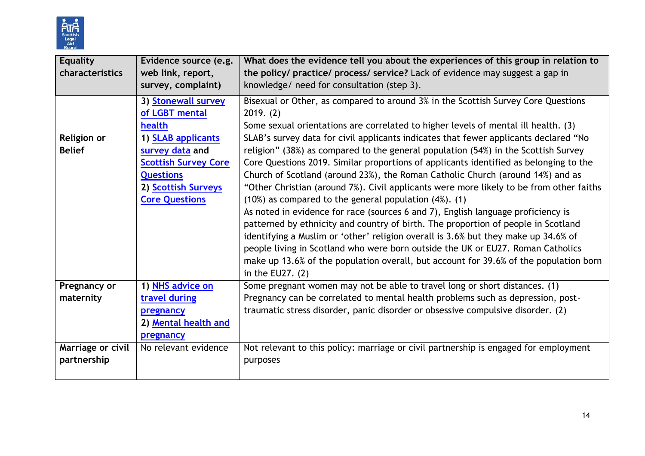

| <b>Equality</b>    | Evidence source (e.g.       | What does the evidence tell you about the experiences of this group in relation to      |
|--------------------|-----------------------------|-----------------------------------------------------------------------------------------|
| characteristics    | web link, report,           | the policy/ practice/ process/ service? Lack of evidence may suggest a gap in           |
|                    | survey, complaint)          | knowledge/ need for consultation (step 3).                                              |
|                    | 3) Stonewall survey         | Bisexual or Other, as compared to around 3% in the Scottish Survey Core Questions       |
|                    | of LGBT mental              | 2019. (2)                                                                               |
|                    | health                      | Some sexual orientations are correlated to higher levels of mental ill health. (3)      |
| <b>Religion or</b> | 1) SLAB applicants          | SLAB's survey data for civil applicants indicates that fewer applicants declared "No    |
| <b>Belief</b>      | survey data and             | religion" (38%) as compared to the general population (54%) in the Scottish Survey      |
|                    | <b>Scottish Survey Core</b> | Core Questions 2019. Similar proportions of applicants identified as belonging to the   |
|                    | <b>Questions</b>            | Church of Scotland (around 23%), the Roman Catholic Church (around 14%) and as          |
|                    | 2) Scottish Surveys         | "Other Christian (around 7%). Civil applicants were more likely to be from other faiths |
|                    | <b>Core Questions</b>       | $(10%)$ as compared to the general population $(4%)$ . $(1)$                            |
|                    |                             | As noted in evidence for race (sources 6 and 7), English language proficiency is        |
|                    |                             | patterned by ethnicity and country of birth. The proportion of people in Scotland       |
|                    |                             | identifying a Muslim or 'other' religion overall is 3.6% but they make up 34.6% of      |
|                    |                             | people living in Scotland who were born outside the UK or EU27. Roman Catholics         |
|                    |                             | make up 13.6% of the population overall, but account for 39.6% of the population born   |
|                    |                             | in the EU27. $(2)$                                                                      |
| Pregnancy or       | 1) NHS advice on            | Some pregnant women may not be able to travel long or short distances. (1)              |
| maternity          | travel during               | Pregnancy can be correlated to mental health problems such as depression, post-         |
|                    | pregnancy                   | traumatic stress disorder, panic disorder or obsessive compulsive disorder. (2)         |
|                    | 2) Mental health and        |                                                                                         |
|                    | pregnancy                   |                                                                                         |
| Marriage or civil  | No relevant evidence        | Not relevant to this policy: marriage or civil partnership is engaged for employment    |
| partnership        |                             | purposes                                                                                |
|                    |                             |                                                                                         |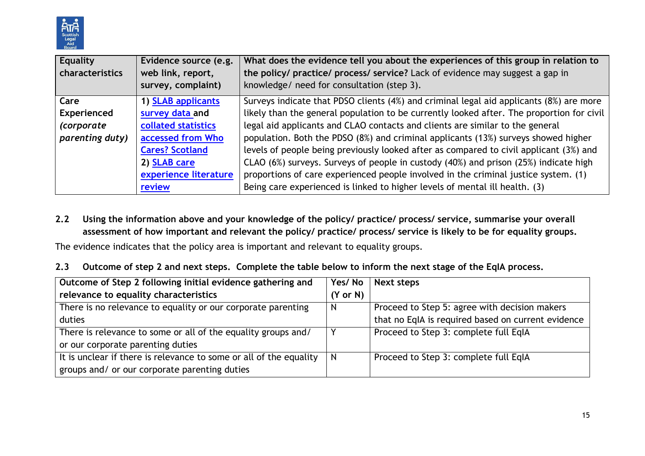

| Equality<br>characteristics | Evidence source (e.g.<br>web link, report,<br>survey, complaint) | What does the evidence tell you about the experiences of this group in relation to<br>the policy/ practice/ process/ service? Lack of evidence may suggest a gap in<br>knowledge/ need for consultation (step 3). |
|-----------------------------|------------------------------------------------------------------|-------------------------------------------------------------------------------------------------------------------------------------------------------------------------------------------------------------------|
| Care                        | 1) SLAB applicants                                               | Surveys indicate that PDSO clients (4%) and criminal legal aid applicants (8%) are more                                                                                                                           |
| Experienced                 | survey data and                                                  | likely than the general population to be currently looked after. The proportion for civil                                                                                                                         |
| <i>(corporate</i>           | collated statistics                                              | legal aid applicants and CLAO contacts and clients are similar to the general                                                                                                                                     |
| parenting duty)             | accessed from Who                                                | population. Both the PDSO (8%) and criminal applicants (13%) surveys showed higher                                                                                                                                |
|                             | <b>Cares? Scotland</b>                                           | levels of people being previously looked after as compared to civil applicant (3%) and                                                                                                                            |
|                             | 2) SLAB care                                                     | CLAO (6%) surveys. Surveys of people in custody (40%) and prison (25%) indicate high                                                                                                                              |
|                             | experience literature                                            | proportions of care experienced people involved in the criminal justice system. (1)                                                                                                                               |
|                             | review                                                           | Being care experienced is linked to higher levels of mental ill health. (3)                                                                                                                                       |

#### **2.2 Using the information above and your knowledge of the policy/ practice/ process/ service, summarise your overall assessment of how important and relevant the policy/ practice/ process/ service is likely to be for equality groups.**

The evidence indicates that the policy area is important and relevant to equality groups.

**2.3 Outcome of step 2 and next steps. Complete the table below to inform the next stage of the EqIA process.**

| Outcome of Step 2 following initial evidence gathering and         | Yes/No              | Next steps                                         |
|--------------------------------------------------------------------|---------------------|----------------------------------------------------|
| relevance to equality characteristics                              | $(Y \text{ or } N)$ |                                                    |
| There is no relevance to equality or our corporate parenting       | N                   | Proceed to Step 5: agree with decision makers      |
| duties                                                             |                     | that no EqIA is required based on current evidence |
| There is relevance to some or all of the equality groups and/      |                     | Proceed to Step 3: complete full EqIA              |
| or our corporate parenting duties                                  |                     |                                                    |
| It is unclear if there is relevance to some or all of the equality | N                   | Proceed to Step 3: complete full EqIA              |
| groups and/ or our corporate parenting duties                      |                     |                                                    |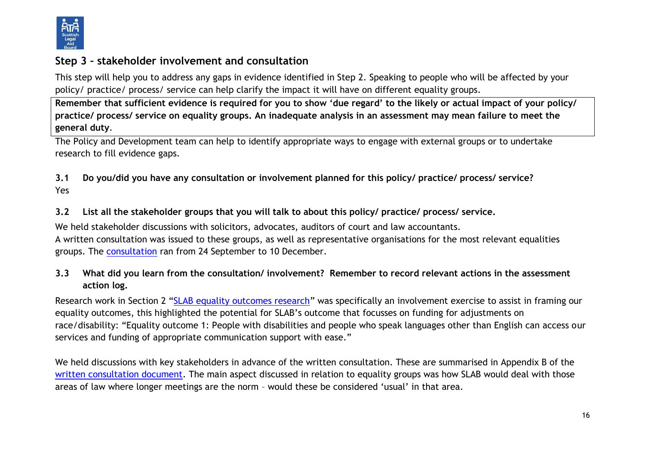

# **Step 3 – stakeholder involvement and consultation**

This step will help you to address any gaps in evidence identified in Step 2. Speaking to people who will be affected by your policy/ practice/ process/ service can help clarify the impact it will have on different equality groups.

**Remember that sufficient evidence is required for you to show 'due regard' to the likely or actual impact of your policy/ practice/ process/ service on equality groups. An inadequate analysis in an assessment may mean failure to meet the general duty**.

The Policy and Development team can help to identify appropriate ways to engage with external groups or to undertake research to fill evidence gaps.

**3.1 Do you/did you have any consultation or involvement planned for this policy/ practice/ process/ service?**  Yes

## **3.2 List all the stakeholder groups that you will talk to about this policy/ practice/ process/ service.**

We held stakeholder discussions with solicitors, advocates, auditors of court and law accountants. A written consultation was issued to these groups, as well as representative organisations for the most relevant equalities groups. The [consultation](https://www.slab.org.uk/news/consultation-launched-about-legal-aid-accounts-assessment/) ran from 24 September to 10 December.

## **3.3 What did you learn from the consultation/ involvement? Remember to record relevant actions in the assessment action log.**

Research work in Section 2 "[SLAB equality outcomes research](https://www.slab.org.uk/?download=file&file=17624)" was specifically an involvement exercise to assist in framing our equality outcomes, this highlighted the potential for SLAB's outcome that focusses on funding for adjustments on race/disability: "Equality outcome 1: People with disabilities and people who speak languages other than English can access our services and funding of appropriate communication support with ease."

We held discussions with key stakeholders in advance of the written consultation. These are summarised in Appendix B of the [written consultation document.](https://www.slab.org.uk/app/uploads/2021/09/SLAB-accounts-assessment-consultation.docx) The main aspect discussed in relation to equality groups was how SLAB would deal with those areas of law where longer meetings are the norm – would these be considered 'usual' in that area.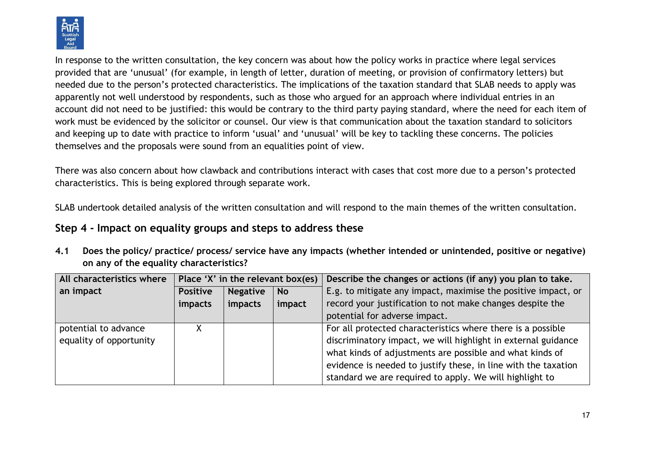

In response to the written consultation, the key concern was about how the policy works in practice where legal services provided that are 'unusual' (for example, in length of letter, duration of meeting, or provision of confirmatory letters) but needed due to the person's protected characteristics. The implications of the taxation standard that SLAB needs to apply was apparently not well understood by respondents, such as those who argued for an approach where individual entries in an account did not need to be justified: this would be contrary to the third party paying standard, where the need for each item of work must be evidenced by the solicitor or counsel. Our view is that communication about the taxation standard to solicitors and keeping up to date with practice to inform 'usual' and 'unusual' will be key to tackling these concerns. The policies themselves and the proposals were sound from an equalities point of view.

There was also concern about how clawback and contributions interact with cases that cost more due to a person's protected characteristics. This is being explored through separate work.

SLAB undertook detailed analysis of the written consultation and will respond to the main themes of the written consultation.

# **Step 4 - Impact on equality groups and steps to address these**

**4.1 Does the policy/ practice/ process/ service have any impacts (whether intended or unintended, positive or negative) on any of the equality characteristics?** 

| All characteristics where |                 |                 |           | Place 'X' in the relevant box(es) Describe the changes or actions (if any) you plan to take. |
|---------------------------|-----------------|-----------------|-----------|----------------------------------------------------------------------------------------------|
| an impact                 | <b>Positive</b> | <b>Negative</b> | <b>No</b> | E.g. to mitigate any impact, maximise the positive impact, or                                |
|                           | impacts         | impacts         | impact    | record your justification to not make changes despite the                                    |
|                           |                 |                 |           | potential for adverse impact.                                                                |
| potential to advance      |                 |                 |           | For all protected characteristics where there is a possible                                  |
| equality of opportunity   |                 |                 |           | discriminatory impact, we will highlight in external guidance                                |
|                           |                 |                 |           | what kinds of adjustments are possible and what kinds of                                     |
|                           |                 |                 |           | evidence is needed to justify these, in line with the taxation                               |
|                           |                 |                 |           | standard we are required to apply. We will highlight to                                      |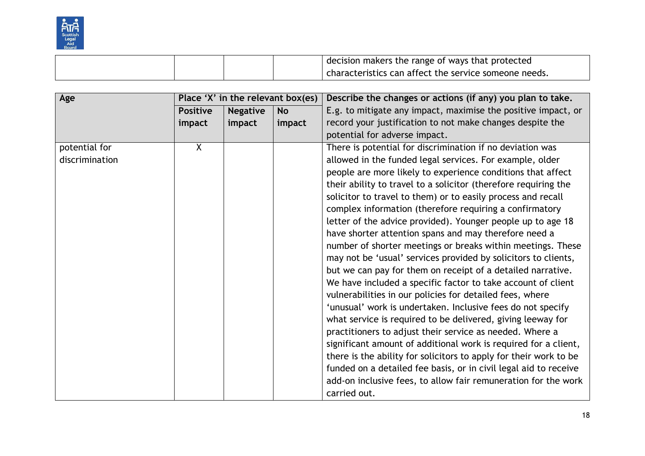

|  | I decision makers the range of ways that protected    |
|--|-------------------------------------------------------|
|  | characteristics can affect the service someone needs. |

| Age            |                 | Place 'X' in the relevant box(es) |           | Describe the changes or actions (if any) you plan to take.        |
|----------------|-----------------|-----------------------------------|-----------|-------------------------------------------------------------------|
|                | <b>Positive</b> | <b>Negative</b>                   | <b>No</b> | E.g. to mitigate any impact, maximise the positive impact, or     |
|                | impact          | impact                            | impact    | record your justification to not make changes despite the         |
|                |                 |                                   |           | potential for adverse impact.                                     |
| potential for  | $\overline{X}$  |                                   |           | There is potential for discrimination if no deviation was         |
| discrimination |                 |                                   |           | allowed in the funded legal services. For example, older          |
|                |                 |                                   |           | people are more likely to experience conditions that affect       |
|                |                 |                                   |           | their ability to travel to a solicitor (therefore requiring the   |
|                |                 |                                   |           | solicitor to travel to them) or to easily process and recall      |
|                |                 |                                   |           | complex information (therefore requiring a confirmatory           |
|                |                 |                                   |           | letter of the advice provided). Younger people up to age 18       |
|                |                 |                                   |           | have shorter attention spans and may therefore need a             |
|                |                 |                                   |           | number of shorter meetings or breaks within meetings. These       |
|                |                 |                                   |           | may not be 'usual' services provided by solicitors to clients,    |
|                |                 |                                   |           | but we can pay for them on receipt of a detailed narrative.       |
|                |                 |                                   |           | We have included a specific factor to take account of client      |
|                |                 |                                   |           | vulnerabilities in our policies for detailed fees, where          |
|                |                 |                                   |           | 'unusual' work is undertaken. Inclusive fees do not specify       |
|                |                 |                                   |           | what service is required to be delivered, giving leeway for       |
|                |                 |                                   |           | practitioners to adjust their service as needed. Where a          |
|                |                 |                                   |           | significant amount of additional work is required for a client,   |
|                |                 |                                   |           | there is the ability for solicitors to apply for their work to be |
|                |                 |                                   |           | funded on a detailed fee basis, or in civil legal aid to receive  |
|                |                 |                                   |           | add-on inclusive fees, to allow fair remuneration for the work    |
|                |                 |                                   |           | carried out.                                                      |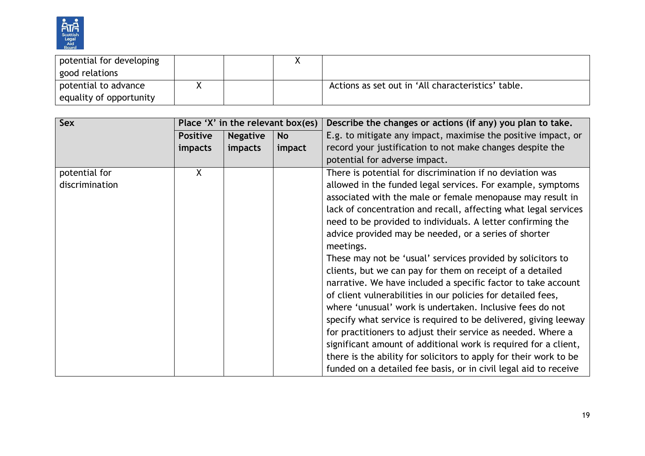

| potential for developing |  |                                                    |
|--------------------------|--|----------------------------------------------------|
| good relations           |  |                                                    |
| potential to advance     |  | Actions as set out in 'All characteristics' table. |
| equality of opportunity  |  |                                                    |

| Sex            | Place 'X' in the relevant box(es) |                 |           | Describe the changes or actions (if any) you plan to take.        |
|----------------|-----------------------------------|-----------------|-----------|-------------------------------------------------------------------|
|                | <b>Positive</b>                   | <b>Negative</b> | <b>No</b> | E.g. to mitigate any impact, maximise the positive impact, or     |
|                | <i>impacts</i>                    | impacts         | impact    | record your justification to not make changes despite the         |
|                |                                   |                 |           | potential for adverse impact.                                     |
| potential for  | X                                 |                 |           | There is potential for discrimination if no deviation was         |
| discrimination |                                   |                 |           | allowed in the funded legal services. For example, symptoms       |
|                |                                   |                 |           | associated with the male or female menopause may result in        |
|                |                                   |                 |           | lack of concentration and recall, affecting what legal services   |
|                |                                   |                 |           | need to be provided to individuals. A letter confirming the       |
|                |                                   |                 |           | advice provided may be needed, or a series of shorter             |
|                |                                   |                 |           | meetings.                                                         |
|                |                                   |                 |           | These may not be 'usual' services provided by solicitors to       |
|                |                                   |                 |           | clients, but we can pay for them on receipt of a detailed         |
|                |                                   |                 |           | narrative. We have included a specific factor to take account     |
|                |                                   |                 |           | of client vulnerabilities in our policies for detailed fees,      |
|                |                                   |                 |           | where 'unusual' work is undertaken. Inclusive fees do not         |
|                |                                   |                 |           | specify what service is required to be delivered, giving leeway   |
|                |                                   |                 |           | for practitioners to adjust their service as needed. Where a      |
|                |                                   |                 |           | significant amount of additional work is required for a client,   |
|                |                                   |                 |           | there is the ability for solicitors to apply for their work to be |
|                |                                   |                 |           | funded on a detailed fee basis, or in civil legal aid to receive  |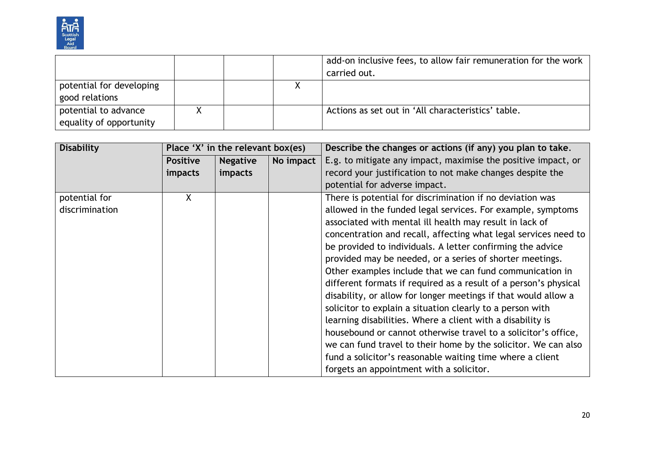

|                          |  | add-on inclusive fees, to allow fair remuneration for the work |
|--------------------------|--|----------------------------------------------------------------|
|                          |  | carried out.                                                   |
| potential for developing |  |                                                                |
| good relations           |  |                                                                |
| potential to advance     |  | Actions as set out in 'All characteristics' table.             |
| equality of opportunity  |  |                                                                |

| <b>Disability</b> | Place 'X' in the relevant box(es) |                 |           | Describe the changes or actions (if any) you plan to take.       |
|-------------------|-----------------------------------|-----------------|-----------|------------------------------------------------------------------|
|                   | <b>Positive</b>                   | <b>Negative</b> | No impact | E.g. to mitigate any impact, maximise the positive impact, or    |
|                   | <i>impacts</i>                    | impacts         |           | record your justification to not make changes despite the        |
|                   |                                   |                 |           | potential for adverse impact.                                    |
| potential for     | X                                 |                 |           | There is potential for discrimination if no deviation was        |
| discrimination    |                                   |                 |           | allowed in the funded legal services. For example, symptoms      |
|                   |                                   |                 |           | associated with mental ill health may result in lack of          |
|                   |                                   |                 |           | concentration and recall, affecting what legal services need to  |
|                   |                                   |                 |           | be provided to individuals. A letter confirming the advice       |
|                   |                                   |                 |           | provided may be needed, or a series of shorter meetings.         |
|                   |                                   |                 |           | Other examples include that we can fund communication in         |
|                   |                                   |                 |           | different formats if required as a result of a person's physical |
|                   |                                   |                 |           | disability, or allow for longer meetings if that would allow a   |
|                   |                                   |                 |           | solicitor to explain a situation clearly to a person with        |
|                   |                                   |                 |           | learning disabilities. Where a client with a disability is       |
|                   |                                   |                 |           | housebound or cannot otherwise travel to a solicitor's office,   |
|                   |                                   |                 |           | we can fund travel to their home by the solicitor. We can also   |
|                   |                                   |                 |           | fund a solicitor's reasonable waiting time where a client        |
|                   |                                   |                 |           | forgets an appointment with a solicitor.                         |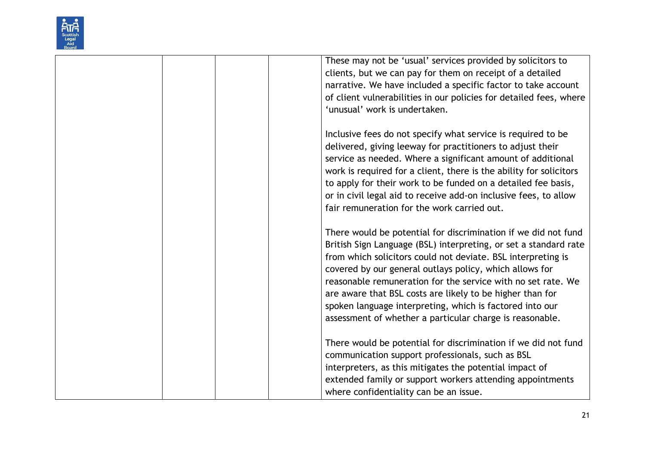

| These may not be 'usual' services provided by solicitors to<br>clients, but we can pay for them on receipt of a detailed                                                                                                                                      |
|---------------------------------------------------------------------------------------------------------------------------------------------------------------------------------------------------------------------------------------------------------------|
| narrative. We have included a specific factor to take account                                                                                                                                                                                                 |
| of client vulnerabilities in our policies for detailed fees, where                                                                                                                                                                                            |
| 'unusual' work is undertaken.                                                                                                                                                                                                                                 |
| Inclusive fees do not specify what service is required to be                                                                                                                                                                                                  |
| delivered, giving leeway for practitioners to adjust their                                                                                                                                                                                                    |
| service as needed. Where a significant amount of additional                                                                                                                                                                                                   |
| work is required for a client, there is the ability for solicitors                                                                                                                                                                                            |
| to apply for their work to be funded on a detailed fee basis,                                                                                                                                                                                                 |
| or in civil legal aid to receive add-on inclusive fees, to allow                                                                                                                                                                                              |
| fair remuneration for the work carried out.                                                                                                                                                                                                                   |
| There would be potential for discrimination if we did not fund<br>British Sign Language (BSL) interpreting, or set a standard rate<br>from which solicitors could not deviate. BSL interpreting is<br>covered by our general outlays policy, which allows for |
| reasonable remuneration for the service with no set rate. We                                                                                                                                                                                                  |
| are aware that BSL costs are likely to be higher than for                                                                                                                                                                                                     |
| spoken language interpreting, which is factored into our                                                                                                                                                                                                      |
| assessment of whether a particular charge is reasonable.                                                                                                                                                                                                      |
| There would be potential for discrimination if we did not fund                                                                                                                                                                                                |
| communication support professionals, such as BSL                                                                                                                                                                                                              |
| interpreters, as this mitigates the potential impact of                                                                                                                                                                                                       |
| extended family or support workers attending appointments                                                                                                                                                                                                     |
| where confidentiality can be an issue.                                                                                                                                                                                                                        |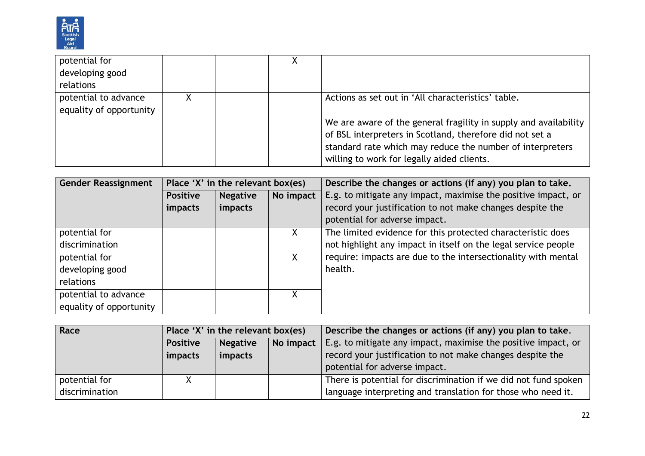

| potential for<br>developing good<br>relations   |  |                                                                                                                                                                                                                                                                                               |
|-------------------------------------------------|--|-----------------------------------------------------------------------------------------------------------------------------------------------------------------------------------------------------------------------------------------------------------------------------------------------|
| potential to advance<br>equality of opportunity |  | Actions as set out in 'All characteristics' table.<br>We are aware of the general fragility in supply and availability<br>of BSL interpreters in Scotland, therefore did not set a<br>standard rate which may reduce the number of interpreters<br>willing to work for legally aided clients. |

| <b>Gender Reassignment</b> | Place 'X' in the relevant box(es) |                 |           | Describe the changes or actions (if any) you plan to take.     |
|----------------------------|-----------------------------------|-----------------|-----------|----------------------------------------------------------------|
|                            | <b>Positive</b>                   | <b>Negative</b> | No impact | E.g. to mitigate any impact, maximise the positive impact, or  |
|                            | <i>impacts</i>                    | impacts         |           | record your justification to not make changes despite the      |
|                            |                                   |                 |           | potential for adverse impact.                                  |
| potential for              |                                   |                 | X.        | The limited evidence for this protected characteristic does    |
| discrimination             |                                   |                 |           | not highlight any impact in itself on the legal service people |
| potential for              |                                   |                 | X.        | require: impacts are due to the intersectionality with mental  |
| developing good            |                                   |                 |           | health.                                                        |
| relations                  |                                   |                 |           |                                                                |
| potential to advance       |                                   |                 |           |                                                                |
| equality of opportunity    |                                   |                 |           |                                                                |

| Race           | Place 'X' in the relevant box(es)               |         |  | Describe the changes or actions (if any) you plan to take.      |
|----------------|-------------------------------------------------|---------|--|-----------------------------------------------------------------|
|                | <b>Negative</b><br>No impact<br><b>Positive</b> |         |  | E.g. to mitigate any impact, maximise the positive impact, or   |
|                | impacts                                         | impacts |  | record your justification to not make changes despite the       |
|                |                                                 |         |  | potential for adverse impact.                                   |
| potential for  | X.                                              |         |  | There is potential for discrimination if we did not fund spoken |
| discrimination |                                                 |         |  | language interpreting and translation for those who need it.    |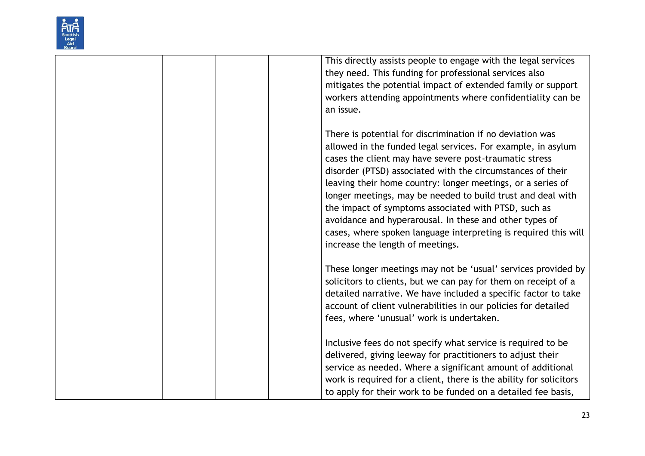

| This directly assists people to engage with the legal services<br>they need. This funding for professional services also<br>mitigates the potential impact of extended family or support<br>workers attending appointments where confidentiality can be<br>an issue.                                                                                                                                                                                                                                                                                                                                      |
|-----------------------------------------------------------------------------------------------------------------------------------------------------------------------------------------------------------------------------------------------------------------------------------------------------------------------------------------------------------------------------------------------------------------------------------------------------------------------------------------------------------------------------------------------------------------------------------------------------------|
| There is potential for discrimination if no deviation was<br>allowed in the funded legal services. For example, in asylum<br>cases the client may have severe post-traumatic stress<br>disorder (PTSD) associated with the circumstances of their<br>leaving their home country: longer meetings, or a series of<br>longer meetings, may be needed to build trust and deal with<br>the impact of symptoms associated with PTSD, such as<br>avoidance and hyperarousal. In these and other types of<br>cases, where spoken language interpreting is required this will<br>increase the length of meetings. |
| These longer meetings may not be 'usual' services provided by<br>solicitors to clients, but we can pay for them on receipt of a<br>detailed narrative. We have included a specific factor to take<br>account of client vulnerabilities in our policies for detailed<br>fees, where 'unusual' work is undertaken.                                                                                                                                                                                                                                                                                          |
| Inclusive fees do not specify what service is required to be<br>delivered, giving leeway for practitioners to adjust their<br>service as needed. Where a significant amount of additional<br>work is required for a client, there is the ability for solicitors<br>to apply for their work to be funded on a detailed fee basis,                                                                                                                                                                                                                                                                          |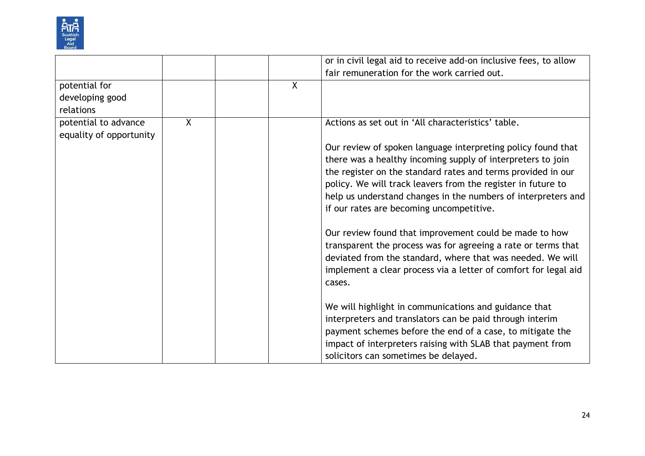

|                         |              |   | or in civil legal aid to receive add-on inclusive fees, to allow                                                        |
|-------------------------|--------------|---|-------------------------------------------------------------------------------------------------------------------------|
|                         |              |   | fair remuneration for the work carried out.                                                                             |
| potential for           |              | X |                                                                                                                         |
| developing good         |              |   |                                                                                                                         |
| relations               |              |   |                                                                                                                         |
| potential to advance    | $\mathsf{X}$ |   | Actions as set out in 'All characteristics' table.                                                                      |
| equality of opportunity |              |   |                                                                                                                         |
|                         |              |   | Our review of spoken language interpreting policy found that                                                            |
|                         |              |   | there was a healthy incoming supply of interpreters to join                                                             |
|                         |              |   | the register on the standard rates and terms provided in our                                                            |
|                         |              |   | policy. We will track leavers from the register in future to                                                            |
|                         |              |   | help us understand changes in the numbers of interpreters and                                                           |
|                         |              |   | if our rates are becoming uncompetitive.                                                                                |
|                         |              |   | Our review found that improvement could be made to how<br>transparent the process was for agreeing a rate or terms that |
|                         |              |   | deviated from the standard, where that was needed. We will                                                              |
|                         |              |   | implement a clear process via a letter of comfort for legal aid<br>cases.                                               |
|                         |              |   | We will highlight in communications and guidance that                                                                   |
|                         |              |   | interpreters and translators can be paid through interim                                                                |
|                         |              |   | payment schemes before the end of a case, to mitigate the                                                               |
|                         |              |   | impact of interpreters raising with SLAB that payment from                                                              |
|                         |              |   | solicitors can sometimes be delayed.                                                                                    |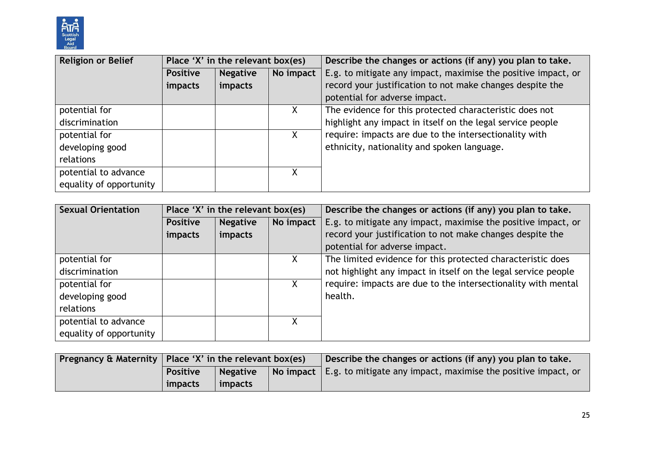

| <b>Religion or Belief</b> | Place 'X' in the relevant box(es) |                 |           | Describe the changes or actions (if any) you plan to take.    |  |
|---------------------------|-----------------------------------|-----------------|-----------|---------------------------------------------------------------|--|
|                           | <b>Positive</b>                   | <b>Negative</b> | No impact | E.g. to mitigate any impact, maximise the positive impact, or |  |
|                           | impacts                           | impacts         |           | record your justification to not make changes despite the     |  |
|                           |                                   |                 |           | potential for adverse impact.                                 |  |
| potential for             |                                   |                 |           | The evidence for this protected characteristic does not       |  |
| discrimination            |                                   |                 |           | highlight any impact in itself on the legal service people    |  |
| potential for             |                                   |                 | X         | require: impacts are due to the intersectionality with        |  |
| developing good           |                                   |                 |           | ethnicity, nationality and spoken language.                   |  |
| relations                 |                                   |                 |           |                                                               |  |
| potential to advance      |                                   |                 | χ         |                                                               |  |
| equality of opportunity   |                                   |                 |           |                                                               |  |

| <b>Sexual Orientation</b> | Place 'X' in the relevant box(es) |                 |           | Describe the changes or actions (if any) you plan to take.     |  |
|---------------------------|-----------------------------------|-----------------|-----------|----------------------------------------------------------------|--|
|                           | <b>Positive</b>                   | <b>Negative</b> | No impact | E.g. to mitigate any impact, maximise the positive impact, or  |  |
|                           | impacts                           | impacts         |           | record your justification to not make changes despite the      |  |
|                           |                                   |                 |           | potential for adverse impact.                                  |  |
| potential for             |                                   |                 | X.        | The limited evidence for this protected characteristic does    |  |
| discrimination            |                                   |                 |           | not highlight any impact in itself on the legal service people |  |
| potential for             |                                   |                 |           | require: impacts are due to the intersectionality with mental  |  |
| developing good           |                                   |                 |           | health.                                                        |  |
| relations                 |                                   |                 |           |                                                                |  |
| potential to advance      |                                   |                 |           |                                                                |  |
| equality of opportunity   |                                   |                 |           |                                                                |  |

| Pregnancy & Maternity   Place 'X' in the relevant box(es) |         |  | Describe the changes or actions (if any) you plan to take.                              |
|-----------------------------------------------------------|---------|--|-----------------------------------------------------------------------------------------|
| <b>Positive</b><br><b>Negative</b>                        |         |  | $\vert$ No impact $\vert$ E.g. to mitigate any impact, maximise the positive impact, or |
| <i>impacts</i>                                            | impacts |  |                                                                                         |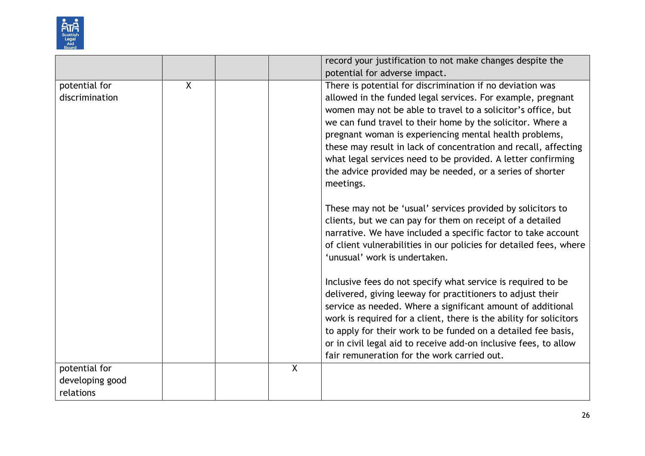

|                 |                |                | record your justification to not make changes despite the          |
|-----------------|----------------|----------------|--------------------------------------------------------------------|
|                 |                |                | potential for adverse impact.                                      |
| potential for   | $\overline{X}$ |                | There is potential for discrimination if no deviation was          |
| discrimination  |                |                | allowed in the funded legal services. For example, pregnant        |
|                 |                |                | women may not be able to travel to a solicitor's office, but       |
|                 |                |                | we can fund travel to their home by the solicitor. Where a         |
|                 |                |                | pregnant woman is experiencing mental health problems,             |
|                 |                |                | these may result in lack of concentration and recall, affecting    |
|                 |                |                | what legal services need to be provided. A letter confirming       |
|                 |                |                | the advice provided may be needed, or a series of shorter          |
|                 |                |                | meetings.                                                          |
|                 |                |                | These may not be 'usual' services provided by solicitors to        |
|                 |                |                | clients, but we can pay for them on receipt of a detailed          |
|                 |                |                | narrative. We have included a specific factor to take account      |
|                 |                |                | of client vulnerabilities in our policies for detailed fees, where |
|                 |                |                | 'unusual' work is undertaken.                                      |
|                 |                |                | Inclusive fees do not specify what service is required to be       |
|                 |                |                | delivered, giving leeway for practitioners to adjust their         |
|                 |                |                | service as needed. Where a significant amount of additional        |
|                 |                |                | work is required for a client, there is the ability for solicitors |
|                 |                |                | to apply for their work to be funded on a detailed fee basis,      |
|                 |                |                | or in civil legal aid to receive add-on inclusive fees, to allow   |
|                 |                |                | fair remuneration for the work carried out.                        |
| potential for   |                | $\overline{X}$ |                                                                    |
| developing good |                |                |                                                                    |
| relations       |                |                |                                                                    |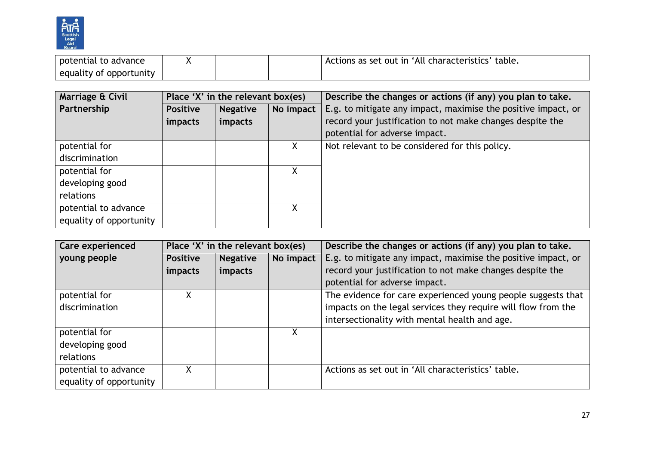

| potential<br>to advance      |  | ! characteristics' table.<br>Actions as set out in<br>∸All |
|------------------------------|--|------------------------------------------------------------|
| : opportunity<br>equality of |  |                                                            |

| Marriage & Civil        | Place 'X' in the relevant box(es) |                 |           | Describe the changes or actions (if any) you plan to take.    |
|-------------------------|-----------------------------------|-----------------|-----------|---------------------------------------------------------------|
| Partnership             | <b>Positive</b>                   | <b>Negative</b> | No impact | E.g. to mitigate any impact, maximise the positive impact, or |
|                         | impacts                           | impacts         |           | record your justification to not make changes despite the     |
|                         |                                   |                 |           | potential for adverse impact.                                 |
| potential for           |                                   |                 | X         | Not relevant to be considered for this policy.                |
| discrimination          |                                   |                 |           |                                                               |
| potential for           |                                   |                 | Χ         |                                                               |
| developing good         |                                   |                 |           |                                                               |
| relations               |                                   |                 |           |                                                               |
| potential to advance    |                                   |                 |           |                                                               |
| equality of opportunity |                                   |                 |           |                                                               |

| Care experienced        | Place 'X' in the relevant box(es) |                 |           | Describe the changes or actions (if any) you plan to take.                                 |  |
|-------------------------|-----------------------------------|-----------------|-----------|--------------------------------------------------------------------------------------------|--|
| young people            | <b>Positive</b>                   | <b>Negative</b> | No impact | E.g. to mitigate any impact, maximise the positive impact, or                              |  |
|                         | impacts                           | impacts         |           | record your justification to not make changes despite the<br>potential for adverse impact. |  |
| potential for           | χ                                 |                 |           | The evidence for care experienced young people suggests that                               |  |
| discrimination          |                                   |                 |           | impacts on the legal services they require will flow from the                              |  |
|                         |                                   |                 |           | intersectionality with mental health and age.                                              |  |
| potential for           |                                   |                 |           |                                                                                            |  |
| developing good         |                                   |                 |           |                                                                                            |  |
| relations               |                                   |                 |           |                                                                                            |  |
| potential to advance    | X                                 |                 |           | Actions as set out in 'All characteristics' table.                                         |  |
| equality of opportunity |                                   |                 |           |                                                                                            |  |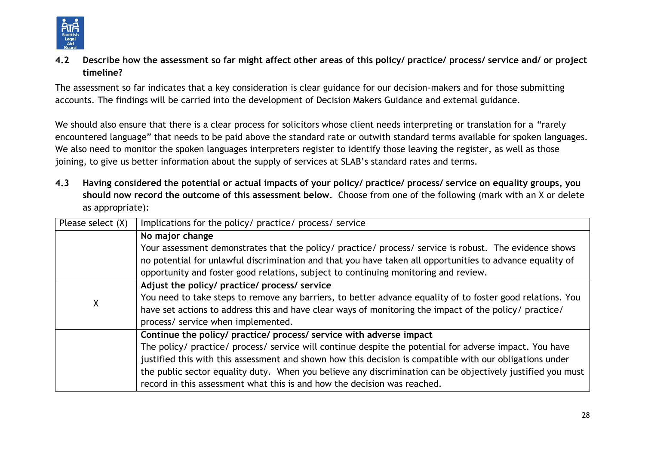

**4.2 Describe how the assessment so far might affect other areas of this policy/ practice/ process/ service and/ or project timeline?** 

The assessment so far indicates that a key consideration is clear guidance for our decision-makers and for those submitting accounts. The findings will be carried into the development of Decision Makers Guidance and external guidance.

We should also ensure that there is a clear process for solicitors whose client needs interpreting or translation for a "rarely" encountered language" that needs to be paid above the standard rate or outwith standard terms available for spoken languages. We also need to monitor the spoken languages interpreters register to identify those leaving the register, as well as those joining, to give us better information about the supply of services at SLAB's standard rates and terms.

**4.3 Having considered the potential or actual impacts of your policy/ practice/ process/ service on equality groups, you should now record the outcome of this assessment below**. Choose from one of the following (mark with an X or delete as appropriate):

| Please select (X) | Implications for the policy/ practice/ process/ service                                                    |  |  |  |  |
|-------------------|------------------------------------------------------------------------------------------------------------|--|--|--|--|
|                   | No major change                                                                                            |  |  |  |  |
|                   | Your assessment demonstrates that the policy/ practice/ process/ service is robust. The evidence shows     |  |  |  |  |
|                   | no potential for unlawful discrimination and that you have taken all opportunities to advance equality of  |  |  |  |  |
|                   | opportunity and foster good relations, subject to continuing monitoring and review.                        |  |  |  |  |
|                   | Adjust the policy/ practice/ process/ service                                                              |  |  |  |  |
| X                 | You need to take steps to remove any barriers, to better advance equality of to foster good relations. You |  |  |  |  |
|                   | have set actions to address this and have clear ways of monitoring the impact of the policy/ practice/     |  |  |  |  |
|                   | process/ service when implemented.                                                                         |  |  |  |  |
|                   | Continue the policy/ practice/ process/ service with adverse impact                                        |  |  |  |  |
|                   | The policy/ practice/ process/ service will continue despite the potential for adverse impact. You have    |  |  |  |  |
|                   | justified this with this assessment and shown how this decision is compatible with our obligations under   |  |  |  |  |
|                   | the public sector equality duty. When you believe any discrimination can be objectively justified you must |  |  |  |  |
|                   | record in this assessment what this is and how the decision was reached.                                   |  |  |  |  |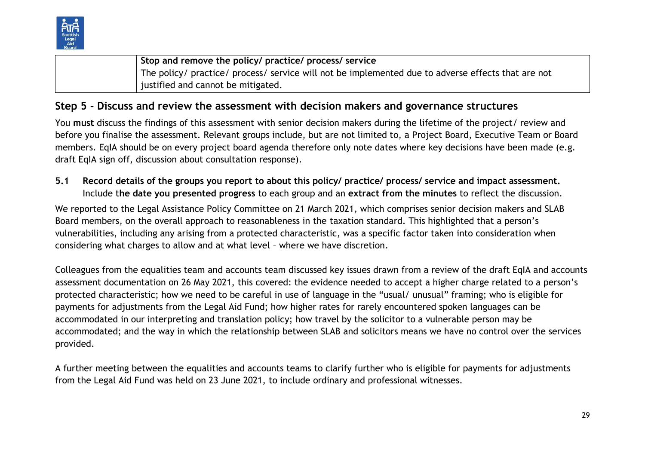

**Stop and remove the policy/ practice/ process/ service** The policy/ practice/ process/ service will not be implemented due to adverse effects that are not justified and cannot be mitigated.

# **Step 5 - Discuss and review the assessment with decision makers and governance structures**

You **must** discuss the findings of this assessment with senior decision makers during the lifetime of the project/ review and before you finalise the assessment. Relevant groups include, but are not limited to, a Project Board, Executive Team or Board members. EqIA should be on every project board agenda therefore only note dates where key decisions have been made (e.g. draft EqIA sign off, discussion about consultation response).

**5.1 Record details of the groups you report to about this policy/ practice/ process/ service and impact assessment.**  Include t**he date you presented progress** to each group and an **extract from the minutes** to reflect the discussion.

We reported to the Legal Assistance Policy Committee on 21 March 2021, which comprises senior decision makers and SLAB Board members, on the overall approach to reasonableness in the taxation standard. This highlighted that a person's vulnerabilities, including any arising from a protected characteristic, was a specific factor taken into consideration when considering what charges to allow and at what level – where we have discretion.

Colleagues from the equalities team and accounts team discussed key issues drawn from a review of the draft EqIA and accounts assessment documentation on 26 May 2021, this covered: the evidence needed to accept a higher charge related to a person's protected characteristic; how we need to be careful in use of language in the "usual/ unusual" framing; who is eligible for payments for adjustments from the Legal Aid Fund; how higher rates for rarely encountered spoken languages can be accommodated in our interpreting and translation policy; how travel by the solicitor to a vulnerable person may be accommodated; and the way in which the relationship between SLAB and solicitors means we have no control over the services provided.

A further meeting between the equalities and accounts teams to clarify further who is eligible for payments for adjustments from the Legal Aid Fund was held on 23 June 2021, to include ordinary and professional witnesses.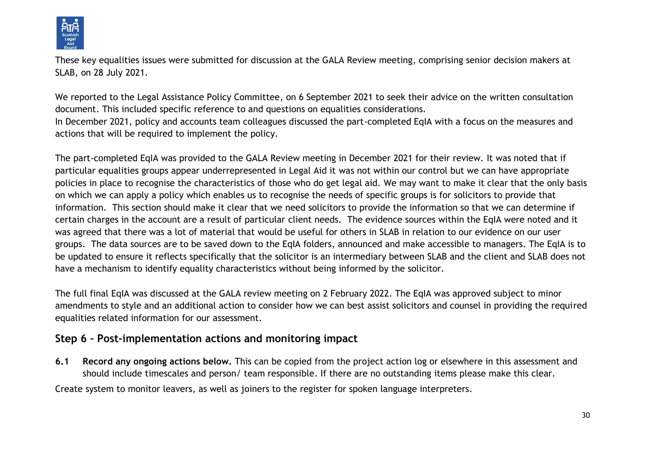

These key equalities issues were submitted for discussion at the GALA Review meeting, comprising senior decision makers at SLAB, on 28 July 2021.

We reported to the Legal Assistance Policy Committee, on 6 September 2021 to seek their advice on the written consultation document. This included specific reference to and questions on equalities considerations. In December 2021, policy and accounts team colleagues discussed the part-completed EqIA with a focus on the measures and

actions that will be required to implement the policy.

The part-completed EqIA was provided to the GALA Review meeting in December 2021 for their review. It was noted that if particular equalities groups appear underrepresented in Legal Aid it was not within our control but we can have appropriate policies in place to recognise the characteristics of those who do get legal aid. We may want to make it clear that the only basis on which we can apply a policy which enables us to recognise the needs of specific groups is for solicitors to provide that information. This section should make it clear that we need solicitors to provide the information so that we can determine if certain charges in the account are a result of particular client needs. The evidence sources within the EqIA were noted and it was agreed that there was a lot of material that would be useful for others in SLAB in relation to our evidence on our user groups. The data sources are to be saved down to the EqIA folders, announced and make accessible to managers. The EqIA is to be updated to ensure it reflects specifically that the solicitor is an intermediary between SLAB and the client and SLAB does not have a mechanism to identify equality characteristics without being informed by the solicitor.

The full final EqIA was discussed at the GALA review meeting on 2 February 2022. The EqIA was approved subject to minor amendments to style and an additional action to consider how we can best assist solicitors and counsel in providing the required equalities related information for our assessment.

# **Step 6 – Post-implementation actions and monitoring impact**

**6.1 Record any ongoing actions below.** This can be copied from the project action log or elsewhere in this assessment and should include timescales and person/ team responsible. If there are no outstanding items please make this clear.

Create system to monitor leavers, as well as joiners to the register for spoken language interpreters.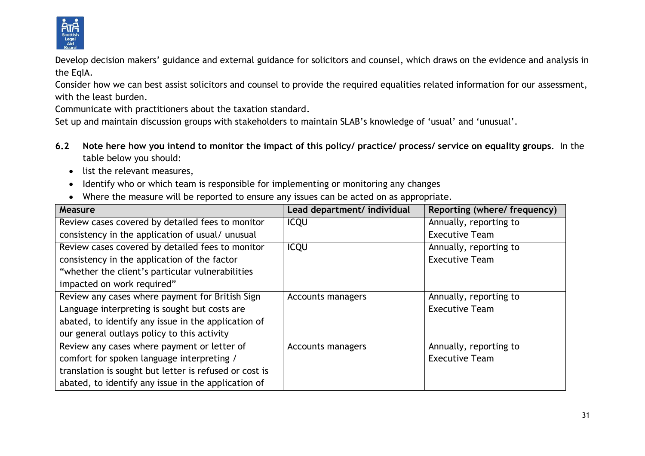

Develop decision makers' guidance and external guidance for solicitors and counsel, which draws on the evidence and analysis in the EqIA.

Consider how we can best assist solicitors and counsel to provide the required equalities related information for our assessment, with the least burden.

Communicate with practitioners about the taxation standard.

Set up and maintain discussion groups with stakeholders to maintain SLAB's knowledge of 'usual' and 'unusual'.

- **6.2 Note here how you intend to monitor the impact of this policy/ practice/ process/ service on equality groups**. In the table below you should:
	- list the relevant measures,
	- Identify who or which team is responsible for implementing or monitoring any changes
	- Where the measure will be reported to ensure any issues can be acted on as appropriate.

| Measure                                                | Lead department/ individual | Reporting (where/ frequency) |
|--------------------------------------------------------|-----------------------------|------------------------------|
| Review cases covered by detailed fees to monitor       | <b>ICQU</b>                 | Annually, reporting to       |
| consistency in the application of usual/unusual        |                             | <b>Executive Team</b>        |
| Review cases covered by detailed fees to monitor       | <b>ICQU</b>                 | Annually, reporting to       |
| consistency in the application of the factor           |                             | <b>Executive Team</b>        |
| "whether the client's particular vulnerabilities       |                             |                              |
| impacted on work required"                             |                             |                              |
| Review any cases where payment for British Sign        | <b>Accounts managers</b>    | Annually, reporting to       |
| Language interpreting is sought but costs are          |                             | <b>Executive Team</b>        |
| abated, to identify any issue in the application of    |                             |                              |
| our general outlays policy to this activity            |                             |                              |
| Review any cases where payment or letter of            | <b>Accounts managers</b>    | Annually, reporting to       |
| comfort for spoken language interpreting /             |                             | <b>Executive Team</b>        |
| translation is sought but letter is refused or cost is |                             |                              |
| abated, to identify any issue in the application of    |                             |                              |